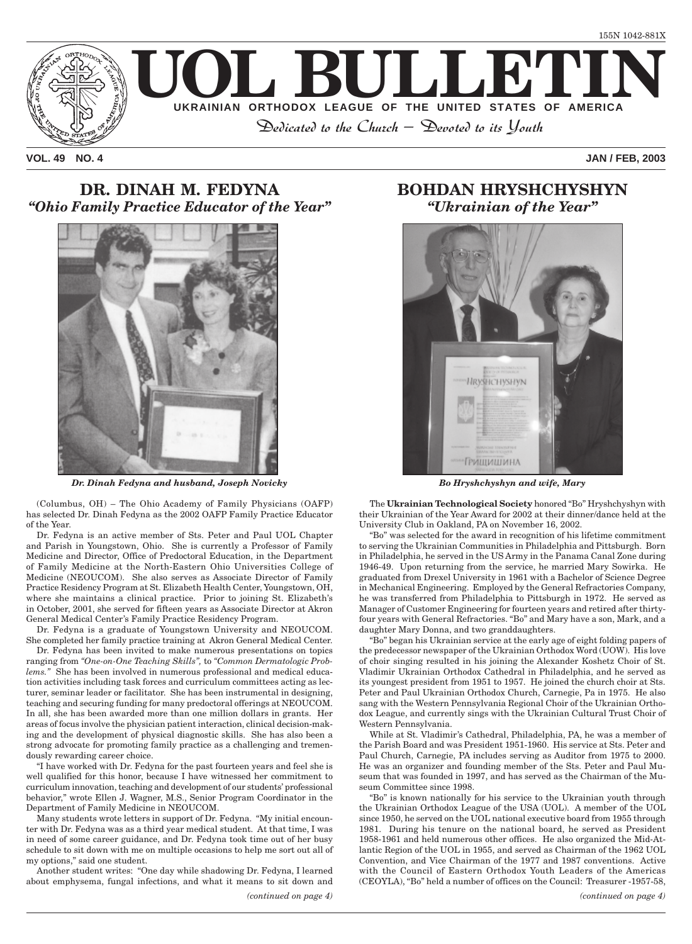

**VOL. 49 NO. 4 JAN / FEB, 2003**

# **DR. DINAH M. FEDYNA** *"Ohio Family Practice Educator of the Year"*



*Dr. Dinah Fedyna and husband, Joseph Novicky*

(Columbus, OH) – The Ohio Academy of Family Physicians (OAFP) has selected Dr. Dinah Fedyna as the 2002 OAFP Family Practice Educator of the Year.

Dr. Fedyna is an active member of Sts. Peter and Paul UOL Chapter and Parish in Youngstown, Ohio. She is currently a Professor of Family Medicine and Director, Office of Predoctoral Education, in the Department of Family Medicine at the North-Eastern Ohio Universities College of Medicine (NEOUCOM). She also serves as Associate Director of Family Practice Residency Program at St. Elizabeth Health Center, Youngstown, OH, where she maintains a clinical practice. Prior to joining St. Elizabeth's in October, 2001, she served for fifteen years as Associate Director at Akron General Medical Center's Family Practice Residency Program.

Dr. Fedyna is a graduate of Youngstown University and NEOUCOM. She completed her family practice training at Akron General Medical Center.

Dr. Fedyna has been invited to make numerous presentations on topics ranging from *"One-on-One Teaching Skills",* to *"Common Dermatologic Problems."* She has been involved in numerous professional and medical education activities including task forces and curriculum committees acting as lecturer, seminar leader or facilitator. She has been instrumental in designing, teaching and securing funding for many predoctoral offerings at NEOUCOM. In all, she has been awarded more than one million dollars in grants. Her areas of focus involve the physician patient interaction, clinical decision-making and the development of physical diagnostic skills. She has also been a strong advocate for promoting family practice as a challenging and tremendously rewarding career choice.

"I have worked with Dr. Fedyna for the past fourteen years and feel she is well qualified for this honor, because I have witnessed her commitment to curriculum innovation, teaching and development of our students' professional behavior," wrote Ellen J. Wagner, M.S., Senior Program Coordinator in the Department of Family Medicine in NEOUCOM.

Many students wrote letters in support of Dr. Fedyna. "My initial encounter with Dr. Fedyna was as a third year medical student. At that time, I was in need of some career guidance, and Dr. Fedyna took time out of her busy schedule to sit down with me on multiple occasions to help me sort out all of my options," said one student.

Another student writes: "One day while shadowing Dr. Fedyna, I learned about emphysema, fungal infections, and what it means to sit down and

# **BOHDAN HRYSHCHYSHYN** *"Ukrainian of the Year"*



*Bo Hryshchyshyn and wife, Mary*

The **Ukrainian Technological Society** honored "Bo" Hryshchyshyn with their Ukrainian of the Year Award for 2002 at their dinner/dance held at the University Club in Oakland, PA on November 16, 2002.

"Bo" was selected for the award in recognition of his lifetime commitment to serving the Ukrainian Communities in Philadelphia and Pittsburgh. Born in Philadelphia, he served in the US Army in the Panama Canal Zone during 1946-49. Upon returning from the service, he married Mary Sowirka. He graduated from Drexel University in 1961 with a Bachelor of Science Degree in Mechanical Engineering. Employed by the General Refractories Company, he was transferred from Philadelphia to Pittsburgh in 1972. He served as Manager of Customer Engineering for fourteen years and retired after thirtyfour years with General Refractories. "Bo" and Mary have a son, Mark, and a daughter Mary Donna, and two granddaughters.

"Bo" began his Ukrainian service at the early age of eight folding papers of the predecessor newspaper of the Ukrainian Orthodox Word (UOW). His love of choir singing resulted in his joining the Alexander Koshetz Choir of St. Vladimir Ukrainian Orthodox Cathedral in Philadelphia, and he served as its youngest president from 1951 to 1957. He joined the church choir at Sts. Peter and Paul Ukrainian Orthodox Church, Carnegie, Pa in 1975. He also sang with the Western Pennsylvania Regional Choir of the Ukrainian Orthodox League, and currently sings with the Ukrainian Cultural Trust Choir of Western Pennsylvania.

While at St. Vladimir's Cathedral, Philadelphia, PA, he was a member of the Parish Board and was President 1951-1960. His service at Sts. Peter and Paul Church, Carnegie, PA includes serving as Auditor from 1975 to 2000. He was an organizer and founding member of the Sts. Peter and Paul Museum that was founded in 1997, and has served as the Chairman of the Museum Committee since 1998.

"Bo" is known nationally for his service to the Ukrainian youth through the Ukrainian Orthodox League of the USA (UOL). A member of the UOL since 1950, he served on the UOL national executive board from 1955 through 1981. During his tenure on the national board, he served as President 1958-1961 and held numerous other offices. He also organized the Mid-Atlantic Region of the UOL in 1955, and served as Chairman of the 1962 UOL Convention, and Vice Chairman of the 1977 and 1987 conventions. Active with the Council of Eastern Orthodox Youth Leaders of the Americas (CEOYLA), "Bo" held a number of offices on the Council: Treasurer -1957-58,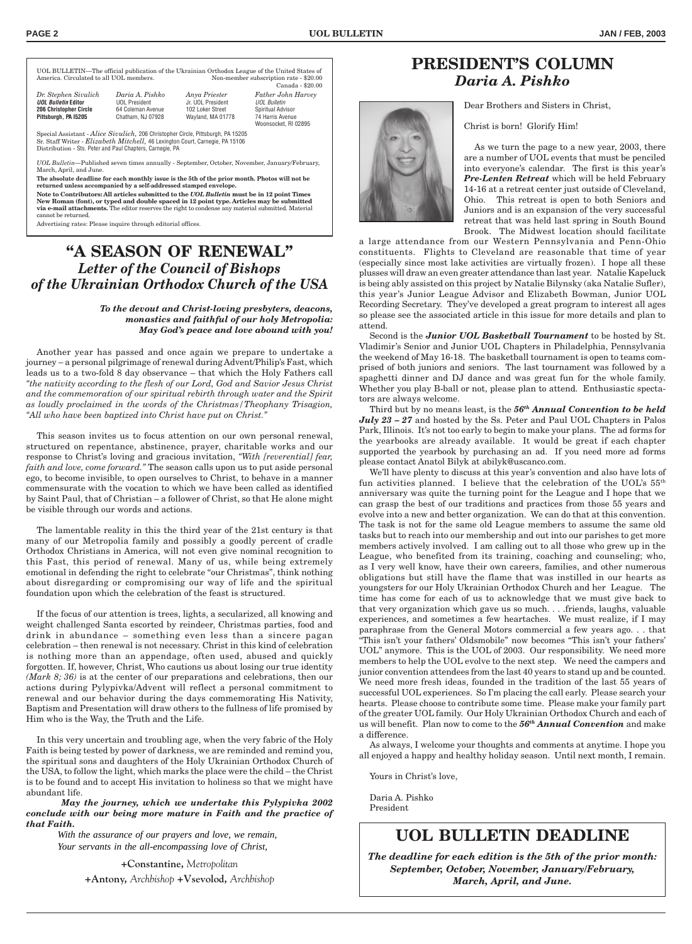*Dr. Stephen Sivulich Daria A. Pishko Anya Priester Father John Harvey* **UOL Bulletin 206 Spiritual Advisor 74 Harris Avenue** Woonsocket, RI 02895

UOL BULLETIN—The official publication of the Ukrainian Orthodox League of the United States of Non-member subscription rate - \$20.00 Canada - \$20.00

| <b>206 Christopher Circle</b><br>64 Coleman Avenue<br>102 Loker Street<br>Wayland, MA 01778<br>Pittsburgh, PA I5205<br>Chatham, NJ 07928 | Dr. Stephen Sivulich<br><b>UOL Bulletin Editor</b> | Daria A. Pishko<br><b>UOL President</b> | Anya Priester<br>Jr. UOL President |  |
|------------------------------------------------------------------------------------------------------------------------------------------|----------------------------------------------------|-----------------------------------------|------------------------------------|--|
|------------------------------------------------------------------------------------------------------------------------------------------|----------------------------------------------------|-----------------------------------------|------------------------------------|--|

Special Assistant - *Alice Sivulich,* 206 Christopher Circle, Pittsburgh, PA 15205 Sr. Staff Writer - *Elizabeth Mitchell,* 46 Lexington Court, Carnegie, PA 15106 Distribution - Sts. Peter and Paul Chapters, Carnegie, PA

*UOL Bulletin*—Published seven times annually - September, October, November, January/February, March, April, and June.

**The absolute deadline for each monthly issue is the 5th of the prior month. Photos will not be returned unless accompanied by a self-addressed stamped envelope.**

**Note to Contributors: All articles submitted to the** *UOL Bulletin* **must be in 12 point Times New Roman (font), or typed and double spaced in 12 point type. Articles may be submitted via e-mail attachments.** The editor reserves the right to condense any material submitted. Material cannot be returned.

Advertising rates: Please inquire through editorial offices.

# **"A SEASON OF RENEWAL"** *Letter of the Council of Bishops of the Ukrainian Orthodox Church of the USA*

*To the devout and Christ-loving presbyters, deacons, monastics and faithful of our holy Metropolia: May God's peace and love abound with you!*

Another year has passed and once again we prepare to undertake a journey – a personal pilgrimage of renewal during Advent/Philip's Fast, which leads us to a two-fold 8 day observance – that which the Holy Fathers call *"the nativity according to the flesh of our Lord, God and Savior Jesus Christ and the commemoration of our spiritual rebirth through water and the Spirit as loudly proclaimed in the words of the Christmas/Theophany Trisagion, "All who have been baptized into Christ have put on Christ."*

This season invites us to focus attention on our own personal renewal, structured on repentance, abstinence, prayer, charitable works and our response to Christ's loving and gracious invitation, *"With [reverential] fear, faith and love, come forward."* The season calls upon us to put aside personal ego, to become invisible, to open ourselves to Christ, to behave in a manner commensurate with the vocation to which we have been called as identified by Saint Paul, that of Christian – a follower of Christ, so that He alone might be visible through our words and actions.

The lamentable reality in this the third year of the 21st century is that many of our Metropolia family and possibly a goodly percent of cradle Orthodox Christians in America, will not even give nominal recognition to this Fast, this period of renewal. Many of us, while being extremely emotional in defending the right to celebrate "our Christmas", think nothing about disregarding or compromising our way of life and the spiritual foundation upon which the celebration of the feast is structured.

If the focus of our attention is trees, lights, a secularized, all knowing and weight challenged Santa escorted by reindeer, Christmas parties, food and drink in abundance – something even less than a sincere pagan celebration – then renewal is not necessary. Christ in this kind of celebration is nothing more than an appendage, often used, abused and quickly forgotten. If, however, Christ, Who cautions us about losing our true identity *(Mark 8; 36)* is at the center of our preparations and celebrations, then our actions during Pylypivka/Advent will reflect a personal commitment to renewal and our behavior during the days commemorating His Nativity, Baptism and Presentation will draw others to the fullness of life promised by Him who is the Way, the Truth and the Life.

In this very uncertain and troubling age, when the very fabric of the Holy Faith is being tested by power of darkness, we are reminded and remind you, the spiritual sons and daughters of the Holy Ukrainian Orthodox Church of the USA, to follow the light, which marks the place were the child – the Christ is to be found and to accept His invitation to holiness so that we might have abundant life.

*May the journey, which we undertake this Pylypivka 2002 conclude with our being more mature in Faith and the practice of that Faith.*

> *With the assurance of our prayers and love, we remain, Your servants in the all-encompassing love of Christ,*

> > **+Constantine,** *Metropolitan*

**+Antony,** *Archbishop* **+Vsevolod,** *Archbishop*

# **PRESIDENT'S COLUMN** *Daria A. Pishko*

Dear Brothers and Sisters in Christ,

Christ is born! Glorify Him!

As we turn the page to a new year, 2003, there are a number of UOL events that must be penciled into everyone's calendar. The first is this year's *Pre-Lenten Retreat* which will be held February 14-16 at a retreat center just outside of Cleveland, Ohio. This retreat is open to both Seniors and Juniors and is an expansion of the very successful retreat that was held last spring in South Bound Brook. The Midwest location should facilitate

a large attendance from our Western Pennsylvania and Penn-Ohio constituents. Flights to Cleveland are reasonable that time of year (especially since most lake activities are virtually frozen). I hope all these plusses will draw an even greater attendance than last year. Natalie Kapeluck is being ably assisted on this project by Natalie Bilynsky (aka Natalie Sufler), this year's Junior League Advisor and Elizabeth Bowman, Junior UOL Recording Secretary. They've developed a great program to interest all ages so please see the associated article in this issue for more details and plan to attend.

Second is the *Junior UOL Basketball Tournament* to be hosted by St. Vladimir's Senior and Junior UOL Chapters in Philadelphia, Pennsylvania the weekend of May 16-18. The basketball tournament is open to teams comprised of both juniors and seniors. The last tournament was followed by a spaghetti dinner and DJ dance and was great fun for the whole family. Whether you play B-ball or not, please plan to attend. Enthusiastic spectators are always welcome.

Third but by no means least, is the *56th Annual Convention to be held July 23 – 27* and hosted by the Ss. Peter and Paul UOL Chapters in Palos Park, Illinois. It's not too early to begin to make your plans. The ad forms for the yearbooks are already available. It would be great if each chapter supported the yearbook by purchasing an ad. If you need more ad forms please contact Anatol Bilyk at abilyk@uscanco.com.

We'll have plenty to discuss at this year's convention and also have lots of fun activities planned. I believe that the celebration of the UOL's  $55<sup>th</sup>$ anniversary was quite the turning point for the League and I hope that we can grasp the best of our traditions and practices from those 55 years and evolve into a new and better organization. We can do that at this convention. The task is not for the same old League members to assume the same old tasks but to reach into our membership and out into our parishes to get more members actively involved. I am calling out to all those who grew up in the League, who benefited from its training, coaching and counseling; who, as I very well know, have their own careers, families, and other numerous obligations but still have the flame that was instilled in our hearts as youngsters for our Holy Ukrainian Orthodox Church and her League. The time has come for each of us to acknowledge that we must give back to that very organization which gave us so much. . . .friends, laughs, valuable experiences, and sometimes a few heartaches. We must realize, if I may paraphrase from the General Motors commercial a few years ago. . . that "This isn't your fathers' Oldsmobile" now becomes "This isn't your fathers' UOL" anymore. This is the UOL of 2003. Our responsibility. We need more members to help the UOL evolve to the next step. We need the campers and junior convention attendees from the last 40 years to stand up and be counted. We need more fresh ideas, founded in the tradition of the last 55 years of successful UOL experiences. So I'm placing the call early. Please search your hearts. Please choose to contribute some time. Please make your family part of the greater UOL family. Our Holy Ukrainian Orthodox Church and each of us will benefit. Plan now to come to the *56th Annual Convention* and make a difference.

As always, I welcome your thoughts and comments at anytime. I hope you all enjoyed a happy and healthy holiday season. Until next month, I remain.

Yours in Christ's love,

Daria A. Pishko President

# **UOL BULLETIN DEADLINE**

*The deadline for each edition is the 5th of the prior month: September, October, November, January/February, March, April, and June.*

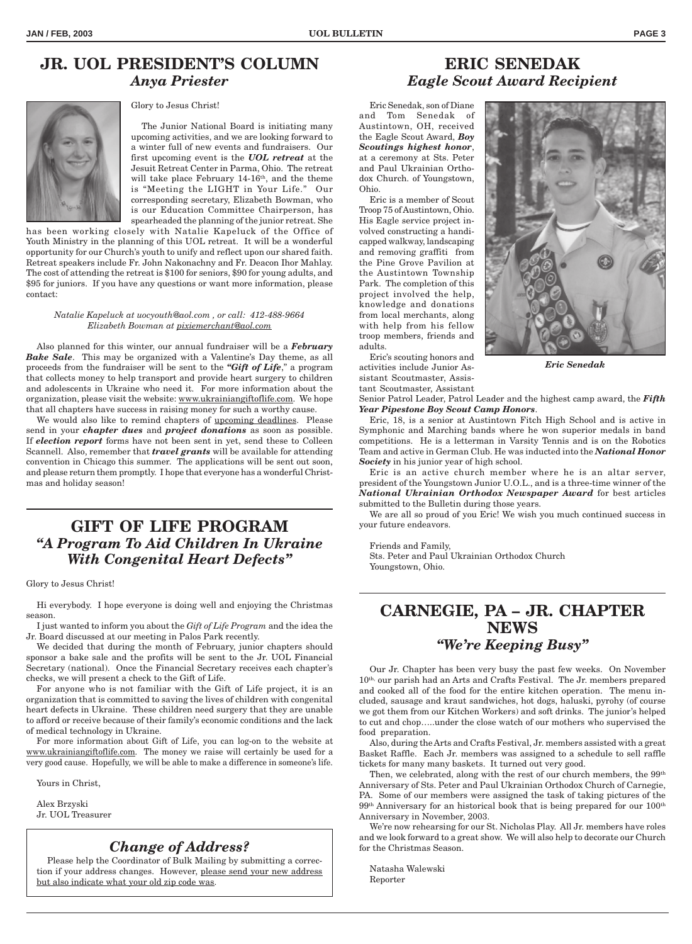# **JR. UOL PRESIDENT'S COLUMN** *Anya Priester*



Glory to Jesus Christ!

The Junior National Board is initiating many upcoming activities, and we are looking forward to a winter full of new events and fundraisers. Our first upcoming event is the *UOL retreat* at the Jesuit Retreat Center in Parma, Ohio. The retreat will take place February 14-16<sup>th</sup>, and the theme is "Meeting the LIGHT in Your Life." Our corresponding secretary, Elizabeth Bowman, who is our Education Committee Chairperson, has spearheaded the planning of the junior retreat. She

has been working closely with Natalie Kapeluck of the Office of Youth Ministry in the planning of this UOL retreat. It will be a wonderful opportunity for our Church's youth to unify and reflect upon our shared faith. Retreat speakers include Fr. John Nakonachny and Fr. Deacon Ihor Mahlay. The cost of attending the retreat is \$100 for seniors, \$90 for young adults, and \$95 for juniors. If you have any questions or want more information, please contact:

#### *Natalie Kapeluck at uocyouth@aol.com , or call: 412-488-9664 Elizabeth Bowman at pixiemerchant@aol.com*

Also planned for this winter, our annual fundraiser will be a *February Bake Sale*. This may be organized with a Valentine's Day theme, as all proceeds from the fundraiser will be sent to the *"Gift of Life*," a program that collects money to help transport and provide heart surgery to children and adolescents in Ukraine who need it. For more information about the organization, please visit the website: www.ukrainiangiftoflife.com. We hope that all chapters have success in raising money for such a worthy cause.

We would also like to remind chapters of upcoming deadlines. Please send in your *chapter dues* and *project donations* as soon as possible. If *election report* forms have not been sent in yet, send these to Colleen Scannell. Also, remember that *travel grants* will be available for attending convention in Chicago this summer. The applications will be sent out soon, and please return them promptly. I hope that everyone has a wonderful Christmas and holiday season!

# **GIFT OF LIFE PROGRAM** *"A Program To Aid Children In Ukraine With Congenital Heart Defects"*

Glory to Jesus Christ!

Hi everybody. I hope everyone is doing well and enjoying the Christmas season.

I just wanted to inform you about the *Gift of Life Program* and the idea the Jr. Board discussed at our meeting in Palos Park recently.

We decided that during the month of February, junior chapters should sponsor a bake sale and the profits will be sent to the Jr. UOL Financial Secretary (national). Once the Financial Secretary receives each chapter's checks, we will present a check to the Gift of Life.

For anyone who is not familiar with the Gift of Life project, it is an organization that is committed to saving the lives of children with congenital heart defects in Ukraine. These children need surgery that they are unable to afford or receive because of their family's economic conditions and the lack of medical technology in Ukraine.

For more information about Gift of Life, you can log-on to the website at www.ukrainiangiftoflife.com. The money we raise will certainly be used for a very good cause. Hopefully, we will be able to make a difference in someone's life.

Yours in Christ,

Alex Brzyski Jr. UOL Treasurer

## *Change of Address?*

Please help the Coordinator of Bulk Mailing by submitting a correction if your address changes. However, please send your new address but also indicate what your old zip code was.

# **ERIC SENEDAK** *Eagle Scout Award Recipient*

Eric Senedak, son of Diane and Tom Senedak of Austintown, OH, received the Eagle Scout Award, *Boy Scoutings highest honor*, at a ceremony at Sts. Peter and Paul Ukrainian Orthodox Church. of Youngstown, Ohio.

Eric is a member of Scout Troop 75 of Austintown, Ohio. His Eagle service project involved constructing a handicapped walkway, landscaping and removing graffiti from the Pine Grove Pavilion at the Austintown Township Park. The completion of this project involved the help, knowledge and donations from local merchants, along with help from his fellow troop members, friends and adults.

Eric's scouting honors and activities include Junior Assistant Scoutmaster, Assistant Scoutmaster, Assistant



*Eric Senedak*

Senior Patrol Leader, Patrol Leader and the highest camp award, the *Fifth Year Pipestone Boy Scout Camp Honors*.

Eric, 18, is a senior at Austintown Fitch High School and is active in Symphonic and Marching bands where he won superior medals in band competitions. He is a letterman in Varsity Tennis and is on the Robotics Team and active in German Club. He was inducted into the *National Honor Society* in his junior year of high school.

Eric is an active church member where he is an altar server, president of the Youngstown Junior U.O.L., and is a three-time winner of the *National Ukrainian Orthodox Newspaper Award* for best articles submitted to the Bulletin during those years.

We are all so proud of you Eric! We wish you much continued success in your future endeavors.

Friends and Family,

Sts. Peter and Paul Ukrainian Orthodox Church Youngstown, Ohio.

# **CARNEGIE, PA – JR. CHAPTER NEWS** *"We're Keeping Busy"*

Our Jr. Chapter has been very busy the past few weeks. On November 10<sup>th,</sup> our parish had an Arts and Crafts Festival. The Jr. members prepared and cooked all of the food for the entire kitchen operation. The menu included, sausage and kraut sandwiches, hot dogs, haluski, pyrohy (of course we got them from our Kitchen Workers) and soft drinks. The junior's helped to cut and chop…..under the close watch of our mothers who supervised the food preparation.

Also, during the Arts and Crafts Festival, Jr. members assisted with a great Basket Raffle. Each Jr. members was assigned to a schedule to sell raffle tickets for many many baskets. It turned out very good.

Then, we celebrated, along with the rest of our church members, the 99<sup>th</sup> Anniversary of Sts. Peter and Paul Ukrainian Orthodox Church of Carnegie, PA. Some of our members were assigned the task of taking pictures of the 99th Anniversary for an historical book that is being prepared for our 100th Anniversary in November, 2003.

We're now rehearsing for our St. Nicholas Play. All Jr. members have roles and we look forward to a great show. We will also help to decorate our Church for the Christmas Season.

Natasha Walewski Reporter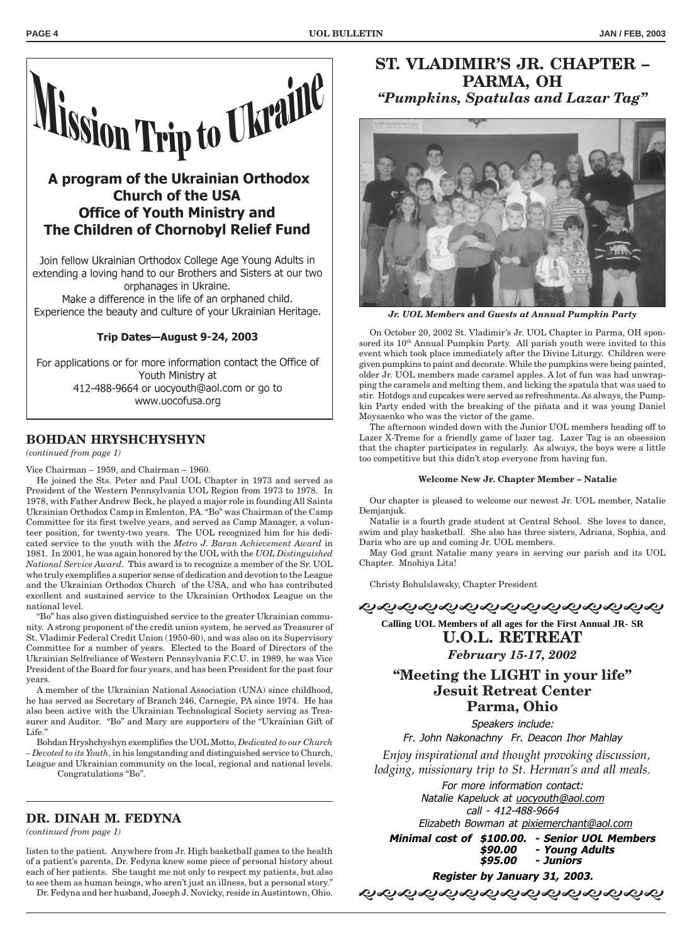

# A program of the Ukrainian Orthodox **Church of the USA Office of Youth Ministry and** The Children of Chornobyl Relief Fund

Join fellow Ukrainian Orthodox College Age Young Adults in extending a loving hand to our Brothers and Sisters at our two orphanages in Ukraine.

Make a difference in the life of an orphaned child. Experience the beauty and culture of your Ukrainian Heritage.

## Trip Dates-August 9-24, 2003

For applications or for more information contact the Office of Youth Ministry at 412-488-9664 or uocyouth@aol.com or go to www.uocofusa.org

## **BOHDAN HRYSHCHYSHYN**

## *(continued from page 1)*

Vice Chairman – 1959, and Chairman – 1960.

He joined the Sts. Peter and Paul UOL Chapter in 1973 and served as President of the Western Pennsylvania UOL Region from 1973 to 1978. In 1978, with Father Andrew Beck, he played a major role in founding All Saints Ukrainian Orthodox Camp in Emlenton, PA. "Bo" was Chairman of the Camp Committee for its first twelve years, and served as Camp Manager, a volunteer position, for twenty-two years. The UOL recognized him for his dedicated service to the youth with the *Metro J. Baran Achievement Award* in 1981. In 2001, he was again honored by the UOL with the *UOL Distinguished National Service Award*. This award is to recognize a member of the Sr. UOL who truly exemplifies a superior sense of dedication and devotion to the League and the Ukrainian Orthodox Church of the USA, and who has contributed excellent and sustained service to the Ukrainian Orthodox League on the national level.

"Bo" has also given distinguished service to the greater Ukrainian community. A strong proponent of the credit union system, he served as Treasurer of St. Vladimir Federal Credit Union (1950-60), and was also on its Supervisory Committee for a number of years. Elected to the Board of Directors of the Ukrainian Selfreliance of Western Pennsylvania F.C.U. in 1989, he was Vice President of the Board for four years, and has been President for the past four years.

A member of the Ukrainian National Association (UNA) since childhood, he has served as Secretary of Branch 246, Carnegie, PA since 1974. He has also been active with the Ukrainian Technological Society serving as Treasurer and Auditor. "Bo" and Mary are supporters of the "Ukrainian Gift of Life."

Bohdan Hryshchyshyn exemplifies the UOL Motto, *Dedicated to our Church – Devoted to its Youth*, in his longstanding and distinguished service to Church, League and Ukrainian community on the local, regional and national levels. Congratulations "Bo".

## **DR. DINAH M. FEDYNA**

*(continued from page 1)*

listen to the patient. Anywhere from Jr. High basketball games to the health of a patient's parents, Dr. Fedyna knew some piece of personal history about each of her patients. She taught me not only to respect my patients, but also to see them as human beings, who aren't just an illness, but a personal story."

Dr. Fedyna and her husband, Joseph J. Novicky, reside in Austintown, Ohio.

# **ST. VLADIMIR'S JR. CHAPTER – PARMA, OH** *"Pumpkins, Spatulas and Lazar Tag"*



*Jr. UOL Members and Guests at Annual Pumpkin Party*

On October 20, 2002 St. Vladimir's Jr. UOL Chapter in Parma, OH sponsored its 10<sup>th</sup> Annual Pumpkin Party. All parish youth were invited to this event which took place immediately after the Divine Liturgy. Children were given pumpkins to paint and decorate. While the pumpkins were being painted, older Jr. UOL members made caramel apples. A lot of fun was had unwrapping the caramels and melting them, and licking the spatula that was used to stir. Hotdogs and cupcakes were served as refreshments. As always, the Pumpkin Party ended with the breaking of the piñata and it was young Daniel Moysaenko who was the victor of the game.

The afternoon winded down with the Junior UOL members heading off to Lazer X-Treme for a friendly game of lazer tag. Lazer Tag is an obsession that the chapter participates in regularly. As always, the boys were a little too competitive but this didn't stop everyone from having fun.

#### **Welcome New Jr. Chapter Member – Natalie**

Our chapter is pleased to welcome our newest Jr. UOL member, Natalie Demjanjuk.

Natalie is a fourth grade student at Central School. She loves to dance, swim and play basketball. She also has three sisters, Adriana, Sophia, and Daria who are up and coming Jr. UOL members.

May God grant Natalie many years in serving our parish and its UOL Chapter. Mnohiya Lita!

Christy Bohulslawsky, Chapter President

やややかかかかかかかかかかかかか

**Calling UOL Members of all ages for the First Annual JR- SR U.O.L. RETREAT** *February 15-17, 2002*

# **"Meeting the LIGHT in your life" Jesuit Retreat Center Parma, Ohio**

Speakers include:

Fr. John Nakonachny Fr. Deacon Ihor Mahlay

*Enjoy inspirational and thought provoking discussion, lodging, missionary trip to St. Herman's and all meals.*

> For more information contact: Natalie Kapeluck at uocyouth@aol.com call - 412-488-9664

 Elizabeth Bowman at pixiemerchant@aol.com **Minimal cost of \$100.00. - Senior UOL Members**

**\$90.00 - Young Adults \$95.00 - Juniors**

**Register by January 31, 2003.**

ଶକ୍ତବ୍ୟକ୍ତ ସକ୍ତବ୍ୟକ ସିଦ୍ଧାନ ସ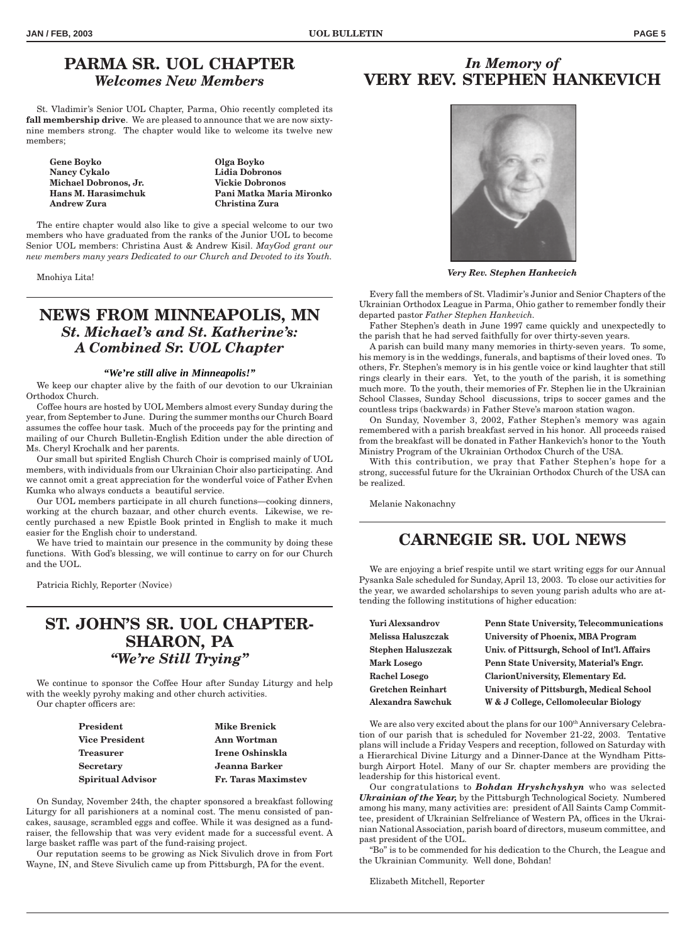# **PARMA SR. UOL CHAPTER** *Welcomes New Members*

St. Vladimir's Senior UOL Chapter, Parma, Ohio recently completed its **fall membership drive**. We are pleased to announce that we are now sixtynine members strong. The chapter would like to welcome its twelve new members;

**Gene Boyko Olga Boyko Nancy Cykalo Lidia Dobronos Michael Dobronos, Jr. Vickie Dobronos Andrew Zura Christina Zura**

**Hans M. Harasimchuk Pani Matka Maria Mironko**

The entire chapter would also like to give a special welcome to our two members who have graduated from the ranks of the Junior UOL to become Senior UOL members: Christina Aust & Andrew Kisil. *MayGod grant our new members many years Dedicated to our Church and Devoted to its Youth.*

Mnohiya Lita!

# **NEWS FROM MINNEAPOLIS, MN** *St. Michael's and St. Katherine's: A Combined Sr. UOL Chapter*

## *"We're still alive in Minneapolis!"*

We keep our chapter alive by the faith of our devotion to our Ukrainian Orthodox Church.

Coffee hours are hosted by UOL Members almost every Sunday during the year, from September to June. During the summer months our Church Board assumes the coffee hour task. Much of the proceeds pay for the printing and mailing of our Church Bulletin-English Edition under the able direction of Ms. Cheryl Krochalk and her parents.

Our small but spirited English Church Choir is comprised mainly of UOL members, with individuals from our Ukrainian Choir also participating. And we cannot omit a great appreciation for the wonderful voice of Father Evhen Kumka who always conducts a beautiful service.

Our UOL members participate in all church functions—cooking dinners, working at the church bazaar, and other church events. Likewise, we recently purchased a new Epistle Book printed in English to make it much easier for the English choir to understand.

We have tried to maintain our presence in the community by doing these functions. With God's blessing, we will continue to carry on for our Church and the UOL.

Patricia Richly, Reporter (Novice)

# **ST. JOHN'S SR. UOL CHAPTER-SHARON, PA** *"We're Still Trying"*

We continue to sponsor the Coffee Hour after Sunday Liturgy and help with the weekly pyrohy making and other church activities. Our chapter officers are:

| <b>President</b>         | <b>Mike Brenick</b>        |
|--------------------------|----------------------------|
| <b>Vice President</b>    | Ann Wortman                |
| <b>Treasurer</b>         | Irene Oshinskla            |
| <b>Secretary</b>         | Jeanna Barker              |
| <b>Spiritual Advisor</b> | <b>Fr. Taras Maximstev</b> |

On Sunday, November 24th, the chapter sponsored a breakfast following Liturgy for all parishioners at a nominal cost. The menu consisted of pancakes, sausage, scrambled eggs and coffee. While it was designed as a fundraiser, the fellowship that was very evident made for a successful event. A large basket raffle was part of the fund-raising project.

Our reputation seems to be growing as Nick Sivulich drove in from Fort Wayne, IN, and Steve Sivulich came up from Pittsburgh, PA for the event.

# *In Memory of* **VERY REV. STEPHEN HANKEVICH**



*Very Rev. Stephen Hankevich*

Every fall the members of St. Vladimir's Junior and Senior Chapters of the Ukrainian Orthodox League in Parma, Ohio gather to remember fondly their departed pastor *Father Stephen Hankevich.*

Father Stephen's death in June 1997 came quickly and unexpectedly to the parish that he had served faithfully for over thirty-seven years.

A parish can build many many memories in thirty-seven years. To some, his memory is in the weddings, funerals, and baptisms of their loved ones. To others, Fr. Stephen's memory is in his gentle voice or kind laughter that still rings clearly in their ears. Yet, to the youth of the parish, it is something much more. To the youth, their memories of Fr. Stephen lie in the Ukrainian School Classes, Sunday School discussions, trips to soccer games and the countless trips (backwards) in Father Steve's maroon station wagon.

On Sunday, November 3, 2002, Father Stephen's memory was again remembered with a parish breakfast served in his honor. All proceeds raised from the breakfast will be donated in Father Hankevich's honor to the Youth Ministry Program of the Ukrainian Orthodox Church of the USA.

With this contribution, we pray that Father Stephen's hope for a strong, successful future for the Ukrainian Orthodox Church of the USA can be realized.

Melanie Nakonachny

# **CARNEGIE SR. UOL NEWS**

We are enjoying a brief respite until we start writing eggs for our Annual Pysanka Sale scheduled for Sunday, April 13, 2003. To close our activities for the year, we awarded scholarships to seven young parish adults who are attending the following institutions of higher education:

| <b>Yuri Alexsandrov</b>   | <b>Penn State University, Telecommunications</b> |
|---------------------------|--------------------------------------------------|
| Melissa Haluszczak        | <b>University of Phoenix, MBA Program</b>        |
| <b>Stephen Haluszczak</b> | Univ. of Pittsurgh, School of Int'l. Affairs     |
| <b>Mark Losego</b>        | Penn State University, Material's Engr.          |
| <b>Rachel Losego</b>      | <b>ClarionUniversity, Elementary Ed.</b>         |
| <b>Gretchen Reinhart</b>  | <b>University of Pittsburgh, Medical School</b>  |
| Alexandra Sawchuk         | W & J College, Cellomolecular Biology            |

We are also very excited about the plans for our 100<sup>th</sup> Anniversary Celebration of our parish that is scheduled for November 21-22, 2003. Tentative plans will include a Friday Vespers and reception, followed on Saturday with a Hierarchical Divine Liturgy and a Dinner-Dance at the Wyndham Pittsburgh Airport Hotel. Many of our Sr. chapter members are providing the leadership for this historical event.

Our congratulations to *Bohdan Hryshchyshyn* who was selected *Ukrainian of the Year,* by the Pittsburgh Technological Society. Numbered among his many, many activities are: president of All Saints Camp Committee, president of Ukrainian Selfreliance of Western PA, offices in the Ukrainian National Association, parish board of directors, museum committee, and past president of the UOL.

"Bo" is to be commended for his dedication to the Church, the League and the Ukrainian Community. Well done, Bohdan!

Elizabeth Mitchell, Reporter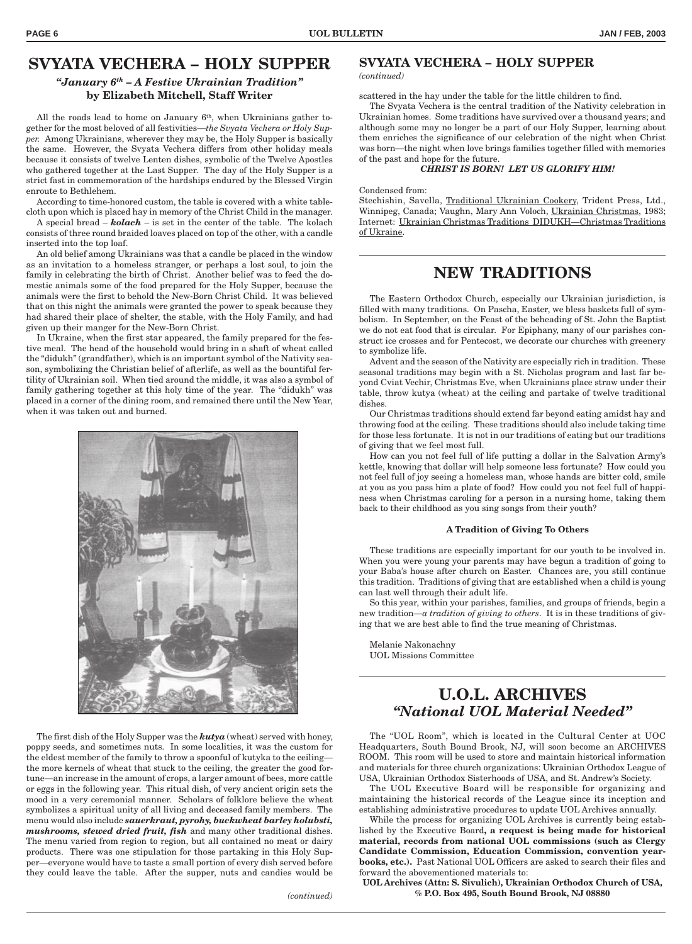## **SVYATA VECHERA – HOLY SUPPER** *"January 6th – A Festive Ukrainian Tradition"* **by Elizabeth Mitchell, Staff Writer**

All the roads lead to home on January  $6<sup>th</sup>$ , when Ukrainians gather together for the most beloved of all festivities—*the Svyata Vechera or Holy Supper.* Among Ukrainians, wherever they may be, the Holy Supper is basically the same. However, the Svyata Vechera differs from other holiday meals because it consists of twelve Lenten dishes, symbolic of the Twelve Apostles who gathered together at the Last Supper. The day of the Holy Supper is a strict fast in commemoration of the hardships endured by the Blessed Virgin enroute to Bethlehem.

According to time-honored custom, the table is covered with a white tablecloth upon which is placed hay in memory of the Christ Child in the manager.

A special bread – *kolach* – is set in the center of the table. The kolach consists of three round braided loaves placed on top of the other, with a candle inserted into the top loaf.

An old belief among Ukrainians was that a candle be placed in the window as an invitation to a homeless stranger, or perhaps a lost soul, to join the family in celebrating the birth of Christ. Another belief was to feed the domestic animals some of the food prepared for the Holy Supper, because the animals were the first to behold the New-Born Christ Child. It was believed that on this night the animals were granted the power to speak because they had shared their place of shelter, the stable, with the Holy Family, and had given up their manger for the New-Born Christ.

In Ukraine, when the first star appeared, the family prepared for the festive meal. The head of the household would bring in a shaft of wheat called the "didukh" (grandfather), which is an important symbol of the Nativity season, symbolizing the Christian belief of afterlife, as well as the bountiful fertility of Ukrainian soil. When tied around the middle, it was also a symbol of family gathering together at this holy time of the year. The "didukh" was placed in a corner of the dining room, and remained there until the New Year, when it was taken out and burned.



The first dish of the Holy Supper was the *kutya* (wheat) served with honey, poppy seeds, and sometimes nuts. In some localities, it was the custom for the eldest member of the family to throw a spoonful of kutyka to the ceiling the more kernels of wheat that stuck to the ceiling, the greater the good fortune—an increase in the amount of crops, a larger amount of bees, more cattle or eggs in the following year. This ritual dish, of very ancient origin sets the mood in a very ceremonial manner. Scholars of folklore believe the wheat symbolizes a spiritual unity of all living and deceased family members. The menu would also include *sauerkraut, pyrohy, buckwheat barley holubsti, mushrooms, stewed dried fruit, fish* and many other traditional dishes. The menu varied from region to region, but all contained no meat or dairy products. There was one stipulation for those partaking in this Holy Supper—everyone would have to taste a small portion of every dish served before they could leave the table. After the supper, nuts and candies would be

## **SVYATA VECHERA – HOLY SUPPER**

*(continued)*

scattered in the hay under the table for the little children to find.

The Svyata Vechera is the central tradition of the Nativity celebration in Ukrainian homes. Some traditions have survived over a thousand years; and although some may no longer be a part of our Holy Supper, learning about them enriches the significance of our celebration of the night when Christ was born—the night when love brings families together filled with memories of the past and hope for the future.

#### *CHRIST IS BORN! LET US GLORIFY HIM!*

#### Condensed from:

Stechishin, Savella, Traditional Ukrainian Cookery, Trident Press, Ltd., Winnipeg, Canada; Vaughn, Mary Ann Voloch, Ukrainian Christmas, 1983; Internet: Ukrainian Christmas Traditions DIDUKH—Christmas Traditions of Ukraine.

## **NEW TRADITIONS**

The Eastern Orthodox Church, especially our Ukrainian jurisdiction, is filled with many traditions. On Pascha, Easter, we bless baskets full of symbolism. In September, on the Feast of the beheading of St. John the Baptist we do not eat food that is circular. For Epiphany, many of our parishes construct ice crosses and for Pentecost, we decorate our churches with greenery to symbolize life.

Advent and the season of the Nativity are especially rich in tradition. These seasonal traditions may begin with a St. Nicholas program and last far beyond Cviat Vechir, Christmas Eve, when Ukrainians place straw under their table, throw kutya (wheat) at the ceiling and partake of twelve traditional dishes.

Our Christmas traditions should extend far beyond eating amidst hay and throwing food at the ceiling. These traditions should also include taking time for those less fortunate. It is not in our traditions of eating but our traditions of giving that we feel most full.

How can you not feel full of life putting a dollar in the Salvation Army's kettle, knowing that dollar will help someone less fortunate? How could you not feel full of joy seeing a homeless man, whose hands are bitter cold, smile at you as you pass him a plate of food? How could you not feel full of happiness when Christmas caroling for a person in a nursing home, taking them back to their childhood as you sing songs from their youth?

#### **A Tradition of Giving To Others**

These traditions are especially important for our youth to be involved in. When you were young your parents may have begun a tradition of going to your Baba's house after church on Easter. Chances are, you still continue this tradition. Traditions of giving that are established when a child is young can last well through their adult life.

So this year, within your parishes, families, and groups of friends, begin a new tradition—*a tradition of giving to others*. It is in these traditions of giving that we are best able to find the true meaning of Christmas.

Melanie Nakonachny UOL Missions Committee

# **U.O.L. ARCHIVES** *"National UOL Material Needed"*

The "UOL Room", which is located in the Cultural Center at UOC Headquarters, South Bound Brook, NJ, will soon become an ARCHIVES ROOM. This room will be used to store and maintain historical information and materials for three church organizations: Ukrainian Orthodox League of USA, Ukrainian Orthodox Sisterhoods of USA, and St. Andrew's Society.

The UOL Executive Board will be responsible for organizing and maintaining the historical records of the League since its inception and establishing administrative procedures to update UOL Archives annually.

While the process for organizing UOL Archives is currently being established by the Executive Board**, a request is being made for historical material, records from national UOL commissions (such as Clergy Candidate Commission, Education Commission, convention yearbooks, etc.).** Past National UOL Officers are asked to search their files and forward the abovementioned materials to:

**UOL Archives (Attn: S. Sivulich), Ukrainian Orthodox Church of USA, % P.O. Box 495, South Bound Brook, NJ 08880**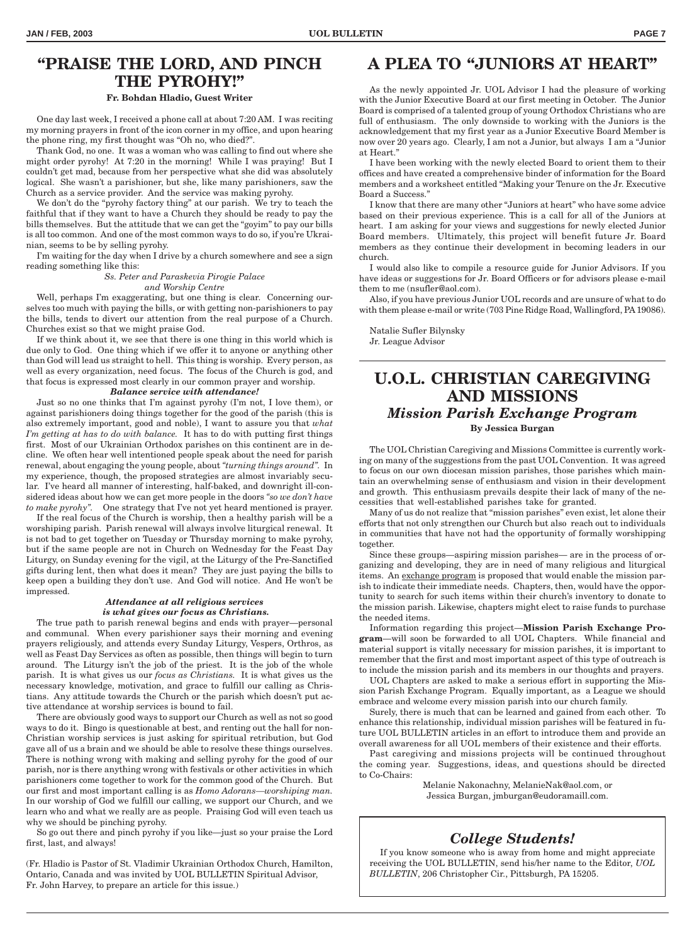# **"PRAISE THE LORD, AND PINCH THE PYROHY!"**

### **Fr. Bohdan Hladio, Guest Writer**

One day last week, I received a phone call at about 7:20 AM. I was reciting my morning prayers in front of the icon corner in my office, and upon hearing the phone ring, my first thought was "Oh no, who died?".

Thank God, no one. It was a woman who was calling to find out where she might order pyrohy! At 7:20 in the morning! While I was praying! But I couldn't get mad, because from her perspective what she did was absolutely logical. She wasn't a parishioner, but she, like many parishioners, saw the Church as a service provider. And the service was making pyrohy.

We don't do the "pyrohy factory thing" at our parish. We try to teach the faithful that if they want to have a Church they should be ready to pay the bills themselves. But the attitude that we can get the "goyim" to pay our bills is all too common. And one of the most common ways to do so, if you're Ukrainian, seems to be by selling pyrohy.

I'm waiting for the day when I drive by a church somewhere and see a sign reading something like this:

*Ss. Peter and Paraskevia Pirogie Palace*

*and Worship Centre*

Well, perhaps I'm exaggerating, but one thing is clear. Concerning ourselves too much with paying the bills, or with getting non-parishioners to pay the bills, tends to divert our attention from the real purpose of a Church. Churches exist so that we might praise God.

If we think about it, we see that there is one thing in this world which is due only to God. One thing which if we offer it to anyone or anything other than God will lead us straight to hell. This thing is worship. Every person, as well as every organization, need focus. The focus of the Church is god, and that focus is expressed most clearly in our common prayer and worship.

## *Balance service with attendance!*

Just so no one thinks that I'm against pyrohy (I'm not, I love them), or against parishioners doing things together for the good of the parish (this is also extremely important, good and noble), I want to assure you that *what I'm getting at has to do with balance.* It has to do with putting first things first. Most of our Ukrainian Orthodox parishes on this continent are in decline. We often hear well intentioned people speak about the need for parish renewal, about engaging the young people, about *"turning things around".* In my experience, though, the proposed strategies are almost invariably secular. I've heard all manner of interesting, half-baked, and downright ill-considered ideas about how we can get more people in the doors *"so we don't have to make pyrohy".* One strategy that I've not yet heard mentioned is prayer.

If the real focus of the Church is worship, then a healthy parish will be a worshiping parish. Parish renewal will always involve liturgical renewal. It is not bad to get together on Tuesday or Thursday morning to make pyrohy, but if the same people are not in Church on Wednesday for the Feast Day Liturgy, on Sunday evening for the vigil, at the Liturgy of the Pre-Sanctified gifts during lent, then what does it mean? They are just paying the bills to keep open a building they don't use. And God will notice. And He won't be impressed.

#### *Attendance at all religious services is what gives our focus as Christians.*

The true path to parish renewal begins and ends with prayer—personal and communal. When every parishioner says their morning and evening prayers religiously, and attends every Sunday Liturgy, Vespers, Orthros, as well as Feast Day Services as often as possible, then things will begin to turn around. The Liturgy isn't the job of the priest. It is the job of the whole parish. It is what gives us our *focus as Christians.* It is what gives us the necessary knowledge, motivation, and grace to fulfill our calling as Christians. Any attitude towards the Church or the parish which doesn't put active attendance at worship services is bound to fail.

There are obviously good ways to support our Church as well as not so good ways to do it. Bingo is questionable at best, and renting out the hall for non-Christian worship services is just asking for spiritual retribution, but God gave all of us a brain and we should be able to resolve these things ourselves. There is nothing wrong with making and selling pyrohy for the good of our parish, nor is there anything wrong with festivals or other activities in which parishioners come together to work for the common good of the Church. But our first and most important calling is as *Homo Adorans—worshiping man.* In our worship of God we fulfill our calling, we support our Church, and we learn who and what we really are as people. Praising God will even teach us why we should be pinching pyrohy.

So go out there and pinch pyrohy if you like—just so your praise the Lord first, last, and always!

(Fr. Hladio is Pastor of St. Vladimir Ukrainian Orthodox Church, Hamilton, Ontario, Canada and was invited by UOL BULLETIN Spiritual Advisor, Fr. John Harvey, to prepare an article for this issue.)

# **A PLEA TO "JUNIORS AT HEART"**

As the newly appointed Jr. UOL Advisor I had the pleasure of working with the Junior Executive Board at our first meeting in October. The Junior Board is comprised of a talented group of young Orthodox Christians who are full of enthusiasm. The only downside to working with the Juniors is the acknowledgement that my first year as a Junior Executive Board Member is now over 20 years ago. Clearly, I am not a Junior, but always I am a "Junior at Heart."

I have been working with the newly elected Board to orient them to their offices and have created a comprehensive binder of information for the Board members and a worksheet entitled "Making your Tenure on the Jr. Executive Board a Success."

I know that there are many other "Juniors at heart" who have some advice based on their previous experience. This is a call for all of the Juniors at heart. I am asking for your views and suggestions for newly elected Junior Board members. Ultimately, this project will benefit future Jr. Board members as they continue their development in becoming leaders in our church.

I would also like to compile a resource guide for Junior Advisors. If you have ideas or suggestions for Jr. Board Officers or for advisors please e-mail them to me (nsufler@aol.com).

Also, if you have previous Junior UOL records and are unsure of what to do with them please e-mail or write (703 Pine Ridge Road, Wallingford, PA 19086).

Natalie Sufler Bilynsky Jr. League Advisor

# **U.O.L. CHRISTIAN CAREGIVING AND MISSIONS** *Mission Parish Exchange Program*

**By Jessica Burgan**

The UOL Christian Caregiving and Missions Committee is currently working on many of the suggestions from the past UOL Convention. It was agreed to focus on our own diocesan mission parishes, those parishes which maintain an overwhelming sense of enthusiasm and vision in their development and growth. This enthusiasm prevails despite their lack of many of the necessities that well-established parishes take for granted.

Many of us do not realize that "mission parishes" even exist, let alone their efforts that not only strengthen our Church but also reach out to individuals in communities that have not had the opportunity of formally worshipping together.

Since these groups—aspiring mission parishes— are in the process of organizing and developing, they are in need of many religious and liturgical items. An exchange program is proposed that would enable the mission parish to indicate their immediate needs. Chapters, then, would have the opportunity to search for such items within their church's inventory to donate to the mission parish. Likewise, chapters might elect to raise funds to purchase the needed items.

Information regarding this project—**Mission Parish Exchange Program**—will soon be forwarded to all UOL Chapters. While financial and material support is vitally necessary for mission parishes, it is important to remember that the first and most important aspect of this type of outreach is to include the mission parish and its members in our thoughts and prayers.

UOL Chapters are asked to make a serious effort in supporting the Mission Parish Exchange Program. Equally important, as a League we should embrace and welcome every mission parish into our church family.

Surely, there is much that can be learned and gained from each other. To enhance this relationship, individual mission parishes will be featured in future UOL BULLETIN articles in an effort to introduce them and provide an overall awareness for all UOL members of their existence and their efforts.

Past caregiving and missions projects will be continued throughout the coming year. Suggestions, ideas, and questions should be directed to Co-Chairs:

Melanie Nakonachny, MelanieNak@aol.com, or

Jessica Burgan, jmburgan@eudoramaill.com.

# *College Students!*

If you know someone who is away from home and might appreciate receiving the UOL BULLETIN, send his/her name to the Editor, *UOL BULLETIN*, 206 Christopher Cir., Pittsburgh, PA 15205.